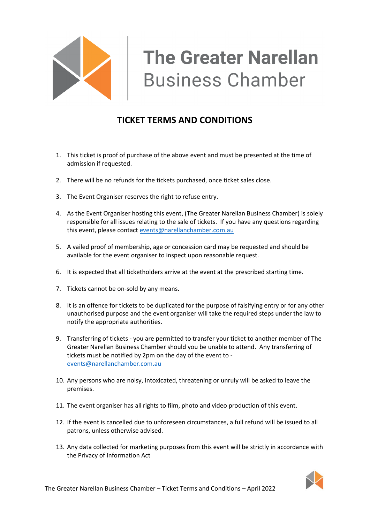

## **TICKET TERMS AND CONDITIONS**

- 1. This ticket is proof of purchase of the above event and must be presented at the time of admission if requested.
- 2. There will be no refunds for the tickets purchased, once ticket sales close.
- 3. The Event Organiser reserves the right to refuse entry.
- 4. As the Event Organiser hosting this event, (The Greater Narellan Business Chamber) is solely responsible for all issues relating to the sale of tickets. If you have any questions regarding this event, please contac[t events@narellanchamber.com.au](mailto:events@narellanchamber.com.au)
- 5. A vailed proof of membership, age or concession card may be requested and should be available for the event organiser to inspect upon reasonable request.
- 6. It is expected that all ticketholders arrive at the event at the prescribed starting time.
- 7. Tickets cannot be on-sold by any means.
- 8. It is an offence for tickets to be duplicated for the purpose of falsifying entry or for any other unauthorised purpose and the event organiser will take the required steps under the law to notify the appropriate authorities.
- 9. Transferring of tickets you are permitted to transfer your ticket to another member of The Greater Narellan Business Chamber should you be unable to attend. Any transferring of tickets must be notified by 2pm on the day of the event to [events@narellanchamber.com.au](mailto:events@narellanchamber.com.au)
- 10. Any persons who are noisy, intoxicated, threatening or unruly will be asked to leave the premises.
- 11. The event organiser has all rights to film, photo and video production of this event.
- 12. If the event is cancelled due to unforeseen circumstances, a full refund will be issued to all patrons, unless otherwise advised.
- 13. Any data collected for marketing purposes from this event will be strictly in accordance with the Privacy of Information Act